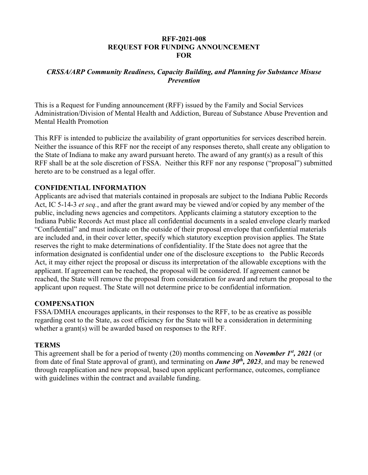#### **RFF-2021-008 REQUEST FOR FUNDING ANNOUNCEMENT FOR**

## *CRSSA/ARP Community Readiness, Capacity Building, and Planning for Substance Misuse Prevention*

This is a Request for Funding announcement (RFF) issued by the Family and Social Services Administration/Division of Mental Health and Addiction, Bureau of Substance Abuse Prevention and Mental Health Promotion

This RFF is intended to publicize the availability of grant opportunities for services described herein. Neither the issuance of this RFF nor the receipt of any responses thereto, shall create any obligation to the State of Indiana to make any award pursuant hereto. The award of any grant(s) as a result of this RFF shall be at the sole discretion of FSSA. Neither this RFF nor any response ("proposal") submitted hereto are to be construed as a legal offer.

## **CONFIDENTIAL INFORMATION**

Applicants are advised that materials contained in proposals are subject to the Indiana Public Records Act, IC 5-14-3 *et seq.*, and after the grant award may be viewed and/or copied by any member of the public, including news agencies and competitors. Applicants claiming a statutory exception to the Indiana Public Records Act must place all confidential documents in a sealed envelope clearly marked "Confidential" and must indicate on the outside of their proposal envelope that confidential materials are included and, in their cover letter, specify which statutory exception provision applies. The State reserves the right to make determinations of confidentiality. If the State does not agree that the information designated is confidential under one of the disclosure exceptions to the Public Records Act, it may either reject the proposal or discuss its interpretation of the allowable exceptions with the applicant. If agreement can be reached, the proposal will be considered. If agreement cannot be reached, the State will remove the proposal from consideration for award and return the proposal to the applicant upon request. The State will not determine price to be confidential information.

#### **COMPENSATION**

FSSA/DMHA encourages applicants, in their responses to the RFF, to be as creative as possible regarding cost to the State, as cost efficiency for the State will be a consideration in determining whether a grant(s) will be awarded based on responses to the RFF.

#### **TERMS**

This agreement shall be for a period of twenty (20) months commencing on *November 1st, 2021* (or from date of final State approval of grant), and terminating on *June 30th, 2023*, and may be renewed through reapplication and new proposal, based upon applicant performance, outcomes, compliance with guidelines within the contract and available funding.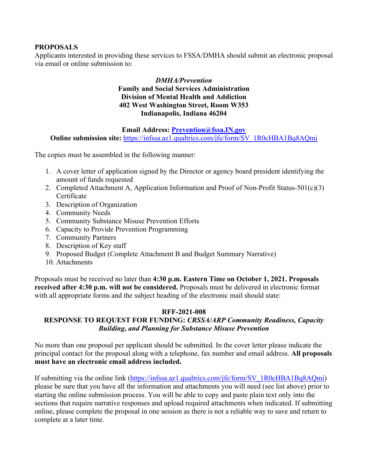## **PROPOSALS**

Applicants interested in providing these services to FSSA/DMHA should submit an electronic proposal via email or online submission to:

## *DMHA/Prevention* **Family and Social Services Administration Division of Mental Health and Addiction 402 West Washington Street, Room W353 Indianapolis, Indiana 46204**

**Email Address: [Prevention@fssa.IN.gov](mailto:Prevention@fssa.IN.gov)**

**Online submission site:** [https://infssa.az1.qualtrics.com/jfe/form/SV\\_1R0cHBA1Bq8AQmi](https://infssa.az1.qualtrics.com/jfe/form/SV_1R0cHBA1Bq8AQmi)

The copies must be assembled in the following manner:

- 1. A cover letter of application signed by the Director or agency board president identifying the amount of funds requested
- 2. Completed Attachment A, Application Information and Proof of Non-Profit Status-501(c)(3) Certificate
- 3. Description of Organization
- 4. Community Needs
- 5. Community Substance Misuse Prevention Efforts
- 6. Capacity to Provide Prevention Programming
- 7. Community Partners
- 8. Description of Key staff
- 9. Proposed Budget (Complete Attachment B and Budget Summary Narrative)
- 10. Attachments

Proposals must be received no later than **4:30 p.m. Eastern Time on October 1, 2021. Proposals received after 4:30 p.m. will not be considered.** Proposals must be delivered in electronic format with all appropriate forms and the subject heading of the electronic mail should state:

#### **RFF-2021-008**

# **RESPONSE TO REQUEST FOR FUNDING:** *CRSSA/ARP Community Readiness, Capacity Building, and Planning for Substance Misuse Prevention*

No more than one proposal per applicant should be submitted. In the cover letter please indicate the principal contact for the proposal along with a telephone, fax number and email address. **All proposals must have an electronic email address included.**

If submitting via the online link [\(https://infssa.az1.qualtrics.com/jfe/form/SV\\_1R0cHBA1Bq8AQmi\)](https://infssa.az1.qualtrics.com/jfe/form/SV_1R0cHBA1Bq8AQmi) please be sure that you have all the information and attachments you will need (see list above) prior to starting the online submission process. You will be able to copy and paste plain text only into the sections that require narrative responses and upload required attachments when indicated. If submitting online, please complete the proposal in one session as there is not a reliable way to save and return to complete at a later time.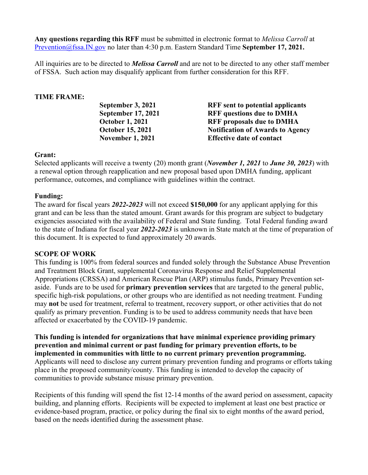**Any questions regarding this RFF** must be submitted in electronic format to *Melissa Carroll* at [Prevention@fssa.IN.gov](mailto:Prevention@fssa.IN.gov) no later than 4:30 p.m. Eastern Standard Time **September 17, 2021.** 

All inquiries are to be directed to *Melissa Carroll* and are not to be directed to any other staff member of FSSA. Such action may disqualify applicant from further consideration for this RFF.

## **TIME FRAME:**

| September 3, 2021         | <b>RFF</b> sent to potential applicants |
|---------------------------|-----------------------------------------|
| <b>September 17, 2021</b> | <b>RFF</b> questions due to DMHA        |
| <b>October 1, 2021</b>    | <b>RFF</b> proposals due to DMHA        |
| <b>October 15, 2021</b>   | <b>Notification of Awards to Agency</b> |
| <b>November 1, 2021</b>   | <b>Effective date of contact</b>        |
|                           |                                         |

#### **Grant:**

Selected applicants will receive a twenty (20) month grant (*November 1, 2021* to *June 30, 2023*) with a renewal option through reapplication and new proposal based upon DMHA funding, applicant performance, outcomes, and compliance with guidelines within the contract.

## **Funding:**

The award for fiscal years *2022-2023* will not exceed **\$150,000** for any applicant applying for this grant and can be less than the stated amount. Grant awards for this program are subject to budgetary exigencies associated with the availability of Federal and State funding. Total Federal funding award to the state of Indiana for fiscal year *2022-2023* is unknown in State match at the time of preparation of this document. It is expected to fund approximately 20 awards.

#### **SCOPE OF WORK**

This funding is 100% from federal sources and funded solely through the Substance Abuse Prevention and Treatment Block Grant, supplemental Coronavirus Response and Relief Supplemental Appropriations (CRSSA) and American Rescue Plan (ARP) stimulus funds, Primary Prevention setaside. Funds are to be used for **primary prevention services** that are targeted to the general public, specific high-risk populations, or other groups who are identified as not needing treatment*.* Funding may **not** be used for treatment, referral to treatment, recovery support, or other activities that do not qualify as primary prevention. Funding is to be used to address community needs that have been affected or exacerbated by the COVID-19 pandemic.

**This funding is intended for organizations that have minimal experience providing primary prevention and minimal current or past funding for primary prevention efforts, to be implemented in communities with little to no current primary prevention programming.**  Applicants will need to disclose any current primary prevention funding and programs or efforts taking place in the proposed community/county. This funding is intended to develop the capacity of communities to provide substance misuse primary prevention.

Recipients of this funding will spend the fist 12-14 months of the award period on assessment, capacity building, and planning efforts. Recipients will be expected to implement at least one best practice or evidence-based program, practice, or policy during the final six to eight months of the award period, based on the needs identified during the assessment phase.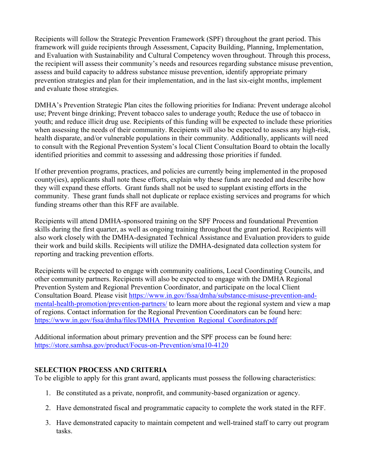Recipients will follow the Strategic Prevention Framework (SPF) throughout the grant period. This framework will guide recipients through Assessment, Capacity Building, Planning, Implementation, and Evaluation with Sustainability and Cultural Competency woven throughout. Through this process, the recipient will assess their community's needs and resources regarding substance misuse prevention, assess and build capacity to address substance misuse prevention, identify appropriate primary prevention strategies and plan for their implementation, and in the last six-eight months, implement and evaluate those strategies.

DMHA's Prevention Strategic Plan cites the following priorities for Indiana: Prevent underage alcohol use; Prevent binge drinking; Prevent tobacco sales to underage youth; Reduce the use of tobacco in youth; and reduce illicit drug use. Recipients of this funding will be expected to include these priorities when assessing the needs of their community. Recipients will also be expected to assess any high-risk, health disparate, and/or vulnerable populations in their community. Additionally, applicants will need to consult with the Regional Prevention System's local Client Consultation Board to obtain the locally identified priorities and commit to assessing and addressing those priorities if funded.

If other prevention programs, practices, and policies are currently being implemented in the proposed county(ies), applicants shall note these efforts, explain why these funds are needed and describe how they will expand these efforts. Grant funds shall not be used to supplant existing efforts in the community. These grant funds shall not duplicate or replace existing services and programs for which funding streams other than this RFF are available.

Recipients will attend DMHA-sponsored training on the SPF Process and foundational Prevention skills during the first quarter, as well as ongoing training throughout the grant period. Recipients will also work closely with the DMHA-designated Technical Assistance and Evaluation providers to guide their work and build skills. Recipients will utilize the DMHA-designated data collection system for reporting and tracking prevention efforts.

Recipients will be expected to engage with community coalitions, Local Coordinating Councils, and other community partners. Recipients will also be expected to engage with the DMHA Regional Prevention System and Regional Prevention Coordinator, and participate on the local Client Consultation Board. Please visit [https://www.in.gov/fssa/dmha/substance-misuse-prevention-and](https://www.in.gov/fssa/dmha/substance-misuse-prevention-and-mental-health-promotion/prevention-partners/)[mental-health-promotion/prevention-partners/](https://www.in.gov/fssa/dmha/substance-misuse-prevention-and-mental-health-promotion/prevention-partners/) to learn more about the regional system and view a map of regions. Contact information for the Regional Prevention Coordinators can be found here: https://www.in.gov/fssa/dmha/files/DMHA Prevention Regional Coordinators.pdf

Additional information about primary prevention and the SPF process can be found here: <https://store.samhsa.gov/product/Focus-on-Prevention/sma10-4120>

# **SELECTION PROCESS AND CRITERIA**

To be eligible to apply for this grant award, applicants must possess the following characteristics:

- 1. Be constituted as a private, nonprofit, and community-based organization or agency.
- 2. Have demonstrated fiscal and programmatic capacity to complete the work stated in the RFF.
- 3. Have demonstrated capacity to maintain competent and well-trained staff to carry out program tasks.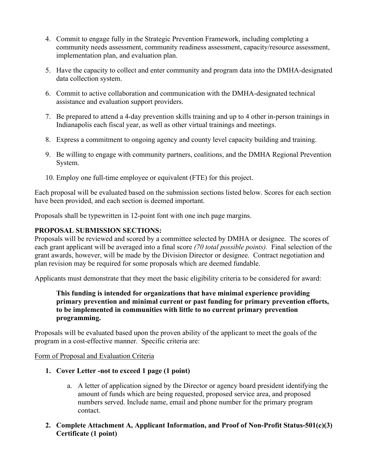- 4. Commit to engage fully in the Strategic Prevention Framework, including completing a community needs assessment, community readiness assessment, capacity/resource assessment, implementation plan, and evaluation plan.
- 5. Have the capacity to collect and enter community and program data into the DMHA-designated data collection system.
- 6. Commit to active collaboration and communication with the DMHA-designated technical assistance and evaluation support providers.
- 7. Be prepared to attend a 4-day prevention skills training and up to 4 other in-person trainings in Indianapolis each fiscal year, as well as other virtual trainings and meetings.
- 8. Express a commitment to ongoing agency and county level capacity building and training.
- 9. Be willing to engage with community partners, coalitions, and the DMHA Regional Prevention System.
- 10. Employ one full-time employee or equivalent (FTE) for this project.

Each proposal will be evaluated based on the submission sections listed below. Scores for each section have been provided, and each section is deemed important.

Proposals shall be typewritten in 12-point font with one inch page margins.

# **PROPOSAL SUBMISSION SECTIONS:**

Proposals will be reviewed and scored by a committee selected by DMHA or designee. The scores of each grant applicant will be averaged into a final score *(70 total possible points).* Final selection of the grant awards, however, will be made by the Division Director or designee. Contract negotiation and plan revision may be required for some proposals which are deemed fundable.

Applicants must demonstrate that they meet the basic eligibility criteria to be considered for award:

## **This funding is intended for organizations that have minimal experience providing primary prevention and minimal current or past funding for primary prevention efforts, to be implemented in communities with little to no current primary prevention programming.**

Proposals will be evaluated based upon the proven ability of the applicant to meet the goals of the program in a cost-effective manner. Specific criteria are:

Form of Proposal and Evaluation Criteria

- **1. Cover Letter -not to exceed 1 page (1 point)**
	- a. A letter of application signed by the Director or agency board president identifying the amount of funds which are being requested, proposed service area, and proposed numbers served. Include name, email and phone number for the primary program contact.
- **2. Complete Attachment A, Applicant Information, and Proof of Non-Profit Status-501(c)(3) Certificate (1 point)**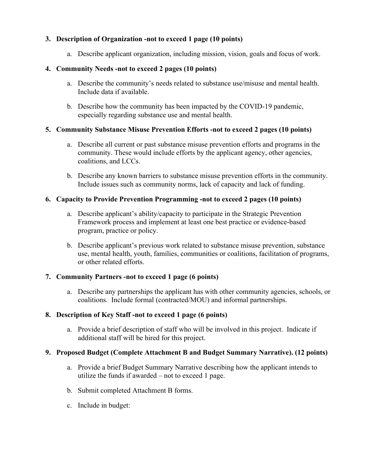## **3. Description of Organization -not to exceed 1 page (10 points)**

a. Describe applicant organization, including mission, vision, goals and focus of work.

# **4. Community Needs -not to exceed 2 pages (10 points)**

- a. Describe the community's needs related to substance use/misuse and mental health. Include data if available.
- b. Describe how the community has been impacted by the COVID-19 pandemic, especially regarding substance use and mental health.

# **5. Community Substance Misuse Prevention Efforts -not to exceed 2 pages (10 points)**

- a. Describe all current or past substance misuse prevention efforts and programs in the community. These would include efforts by the applicant agency, other agencies, coalitions, and LCCs.
- b. Describe any known barriers to substance misuse prevention efforts in the community. Include issues such as community norms, lack of capacity and lack of funding.

# **6. Capacity to Provide Prevention Programming -not to exceed 2 pages (10 points)**

- a. Describe applicant's ability/capacity to participate in the Strategic Prevention Framework process and implement at least one best practice or evidence-based program, practice or policy.
- b. Describe applicant's previous work related to substance misuse prevention, substance use, mental health, youth, families, communities or coalitions, facilitation of programs, or other related efforts.

# **7. Community Partners -not to exceed 1 page (6 points)**

a. Describe any partnerships the applicant has with other community agencies, schools, or coalitions. Include formal (contracted/MOU) and informal partnerships.

# **8. Description of Key Staff -not to exceed 1 page (6 points)**

a. Provide a brief description of staff who will be involved in this project. Indicate if additional staff will be hired for this project.

## **9. Proposed Budget (Complete Attachment B and Budget Summary Narrative). (12 points)**

- a. Provide a brief Budget Summary Narrative describing how the applicant intends to utilize the funds if awarded – not to exceed 1 page.
- b. Submit completed Attachment B forms.
- c. Include in budget: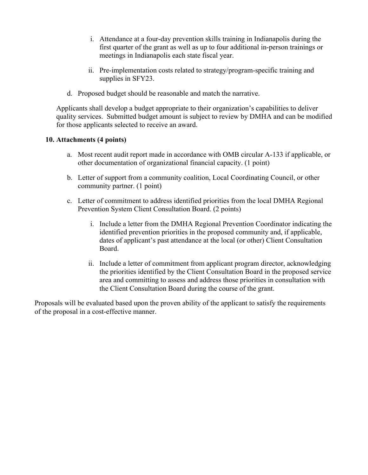- i. Attendance at a four-day prevention skills training in Indianapolis during the first quarter of the grant as well as up to four additional in-person trainings or meetings in Indianapolis each state fiscal year.
- ii. Pre-implementation costs related to strategy/program-specific training and supplies in SFY23.
- d. Proposed budget should be reasonable and match the narrative.

Applicants shall develop a budget appropriate to their organization's capabilities to deliver quality services. Submitted budget amount is subject to review by DMHA and can be modified for those applicants selected to receive an award.

## **10. Attachments (4 points)**

- a. Most recent audit report made in accordance with OMB circular A-133 if applicable, or other documentation of organizational financial capacity. (1 point)
- b. Letter of support from a community coalition, Local Coordinating Council, or other community partner. (1 point)
- c. Letter of commitment to address identified priorities from the local DMHA Regional Prevention System Client Consultation Board. (2 points)
	- i. Include a letter from the DMHA Regional Prevention Coordinator indicating the identified prevention priorities in the proposed community and, if applicable, dates of applicant's past attendance at the local (or other) Client Consultation Board.
	- ii. Include a letter of commitment from applicant program director, acknowledging the priorities identified by the Client Consultation Board in the proposed service area and committing to assess and address those priorities in consultation with the Client Consultation Board during the course of the grant.

Proposals will be evaluated based upon the proven ability of the applicant to satisfy the requirements of the proposal in a cost-effective manner.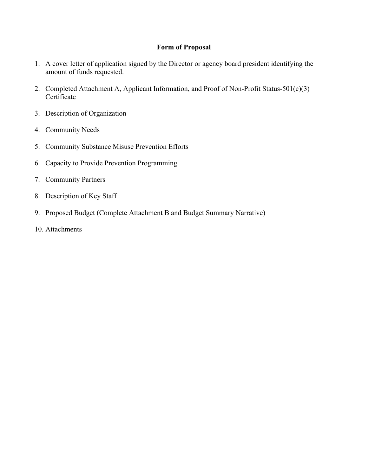## **Form of Proposal**

- 1. A cover letter of application signed by the Director or agency board president identifying the amount of funds requested.
- 2. Completed Attachment A, Applicant Information, and Proof of Non-Profit Status-501(c)(3) Certificate
- 3. Description of Organization
- 4. Community Needs
- 5. Community Substance Misuse Prevention Efforts
- 6. Capacity to Provide Prevention Programming
- 7. Community Partners
- 8. Description of Key Staff
- 9. Proposed Budget (Complete Attachment B and Budget Summary Narrative)
- 10. Attachments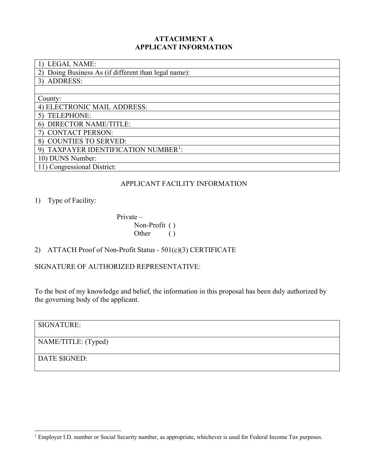### **ATTACHMENT A APPLICANT INFORMATION**

| <b>LEGAL NAME:</b>                                  |
|-----------------------------------------------------|
| Doing Business As (if different than legal name):   |
| 3) ADDRESS:                                         |
|                                                     |
| County:                                             |
| 4) ELECTRONIC MAIL ADDRESS:                         |
| TELEPHONE:                                          |
| <b>DIRECTOR NAME/TITLE:</b><br>6)                   |
| <b>CONTACT PERSON:</b>                              |
| <b>COUNTIES TO SERVED:</b><br>8)                    |
| TAXPAYER IDENTIFICATION NUMBER <sup>1</sup> :<br>9) |
| 10) DUNS Number:                                    |
| 11) Congressional District:                         |

## APPLICANT FACILITY INFORMATION

1) Type of Facility:

 Private – Non-Profit ( ) Other ()

# 2) ATTACH Proof of Non-Profit Status - 501(c)(3) CERTIFICATE

SIGNATURE OF AUTHORIZED REPRESENTATIVE:

To the best of my knowledge and belief, the information in this proposal has been duly authorized by the governing body of the applicant.

SIGNATURE: NAME/TITLE: (Typed) DATE SIGNED:

<span id="page-8-0"></span><sup>&</sup>lt;sup>1</sup> Employer I.D. number or Social Security number, as appropriate, whichever is used for Federal Income Tax purposes.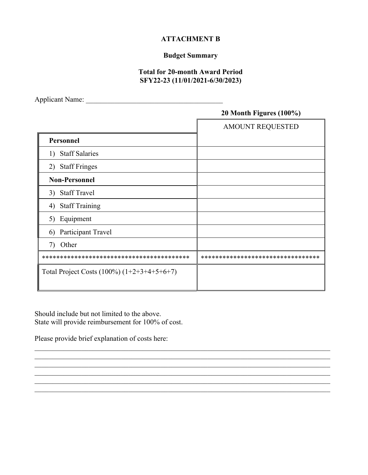### **ATTACHMENT B**

# **Budget Summary**

## **Total for 20-month Award Period SFY22-23 (11/01/2021-6/30/2023)**

Applicant Name: \_\_\_\_\_\_\_\_\_\_\_\_\_\_\_\_\_\_\_\_\_\_\_\_\_\_\_\_\_\_\_\_\_\_\_\_\_\_

# **20 Month Figures (100%)**

|                                               | <b>AMOUNT REQUESTED</b>            |
|-----------------------------------------------|------------------------------------|
| Personnel                                     |                                    |
| 1) Staff Salaries                             |                                    |
| 2) Staff Fringes                              |                                    |
| <b>Non-Personnel</b>                          |                                    |
| 3) Staff Travel                               |                                    |
| <b>Staff Training</b><br>4)                   |                                    |
| 5) Equipment                                  |                                    |
| Participant Travel<br>6)                      |                                    |
| Other<br>7)                                   |                                    |
|                                               | ********************************** |
| Total Project Costs $(100\%) (1+2+3+4+5+6+7)$ |                                    |

 $\_$  ,  $\_$  ,  $\_$  ,  $\_$  ,  $\_$  ,  $\_$  ,  $\_$  ,  $\_$  ,  $\_$  ,  $\_$  ,  $\_$  ,  $\_$  ,  $\_$  ,  $\_$  ,  $\_$  ,  $\_$  ,  $\_$  ,  $\_$  ,  $\_$  ,  $\_$  ,  $\_$  ,  $\_$  ,  $\_$  ,  $\_$  ,  $\_$  ,  $\_$  ,  $\_$  ,  $\_$  ,  $\_$  ,  $\_$  ,  $\_$  ,  $\_$  ,  $\_$  ,  $\_$  ,  $\_$  ,  $\_$  ,  $\_$  , \_\_\_\_\_\_\_\_\_\_\_\_\_\_\_\_\_\_\_\_\_\_\_\_\_\_\_\_\_\_\_\_\_\_\_\_\_\_\_\_\_\_\_\_\_\_\_\_\_\_\_\_\_\_\_\_\_\_\_\_\_\_\_\_\_\_\_\_\_\_\_\_\_\_\_\_\_\_\_\_\_\_

\_\_\_\_\_\_\_\_\_\_\_\_\_\_\_\_\_\_\_\_\_\_\_\_\_\_\_\_\_\_\_\_\_\_\_\_\_\_\_\_\_\_\_\_\_\_\_\_\_\_\_\_\_\_\_\_\_\_\_\_\_\_\_\_\_\_\_\_\_\_\_\_\_\_\_\_\_\_\_\_\_\_

Should include but not limited to the above. State will provide reimbursement for 100% of cost.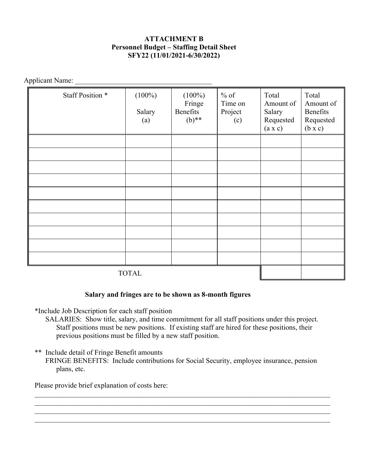## **ATTACHMENT B Personnel Budget – Staffing Detail Sheet SFY22 (11/01/2021-6/30/2022)**

Applicant Name: \_\_\_\_\_\_\_\_\_\_\_\_\_\_\_\_\_\_\_\_\_\_\_\_\_\_\_\_\_\_\_\_\_\_\_\_\_\_

| Staff Position * | $(100\%)$<br>Salary<br>(a) | $(100\%)$<br>Fringe<br>Benefits<br>$(b)$ ** | $%$ of<br>Time on<br>Project<br>(c) | Total<br>Amount of<br>Salary<br>Requested<br>(a x c) | Total<br>Amount of<br>Benefits<br>Requested<br>$(b \times c)$ |
|------------------|----------------------------|---------------------------------------------|-------------------------------------|------------------------------------------------------|---------------------------------------------------------------|
|                  |                            |                                             |                                     |                                                      |                                                               |
|                  |                            |                                             |                                     |                                                      |                                                               |
|                  |                            |                                             |                                     |                                                      |                                                               |
|                  |                            |                                             |                                     |                                                      |                                                               |
|                  |                            |                                             |                                     |                                                      |                                                               |
|                  |                            |                                             |                                     |                                                      |                                                               |
|                  |                            |                                             |                                     |                                                      |                                                               |
|                  |                            |                                             |                                     |                                                      |                                                               |
|                  |                            |                                             |                                     |                                                      |                                                               |
|                  |                            |                                             |                                     |                                                      |                                                               |
| <b>TOTAL</b>     |                            |                                             |                                     |                                                      |                                                               |

#### **Salary and fringes are to be shown as 8-month figures**

\*Include Job Description for each staff position

- SALARIES: Show title, salary, and time commitment for all staff positions under this project. Staff positions must be new positions. If existing staff are hired for these positions, their previous positions must be filled by a new staff position.
- \*\* Include detail of Fringe Benefit amounts FRINGE BENEFITS: Include contributions for Social Security, employee insurance, pension plans, etc.

\_\_\_\_\_\_\_\_\_\_\_\_\_\_\_\_\_\_\_\_\_\_\_\_\_\_\_\_\_\_\_\_\_\_\_\_\_\_\_\_\_\_\_\_\_\_\_\_\_\_\_\_\_\_\_\_\_\_\_\_\_\_\_\_\_\_\_\_\_\_\_\_\_\_\_\_\_\_\_\_\_\_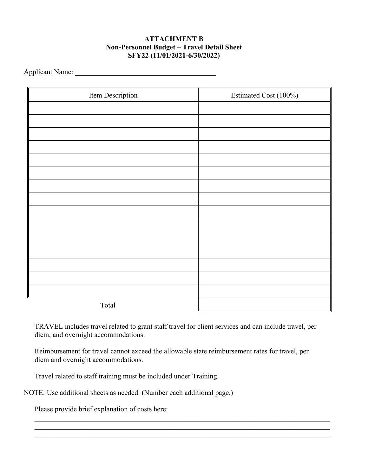## **ATTACHMENT B Non-Personnel Budget – Travel Detail Sheet SFY22 (11/01/2021-6/30/2022)**

Applicant Name:

| Item Description | Estimated Cost (100%) |
|------------------|-----------------------|
|                  |                       |
|                  |                       |
|                  |                       |
|                  |                       |
|                  |                       |
|                  |                       |
|                  |                       |
|                  |                       |
|                  |                       |
|                  |                       |
|                  |                       |
|                  |                       |
|                  |                       |
|                  |                       |
|                  |                       |
| Total            |                       |

TRAVEL includes travel related to grant staff travel for client services and can include travel, per diem, and overnight accommodations.

Reimbursement for travel cannot exceed the allowable state reimbursement rates for travel, per diem and overnight accommodations.

 $\_$  , and the contribution of the contribution of the contribution of the contribution of  $\mathcal{L}_\text{max}$ 

Travel related to staff training must be included under Training.

NOTE: Use additional sheets as needed. (Number each additional page.)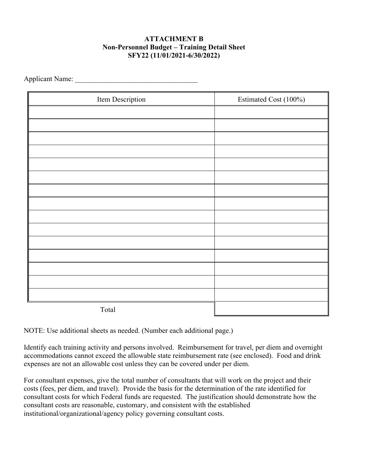## **ATTACHMENT B Non-Personnel Budget – Training Detail Sheet SFY22 (11/01/2021-6/30/2022)**

Applicant Name:

| Item Description | Estimated Cost (100%) |
|------------------|-----------------------|
|                  |                       |
|                  |                       |
|                  |                       |
|                  |                       |
|                  |                       |
|                  |                       |
|                  |                       |
|                  |                       |
|                  |                       |
|                  |                       |
|                  |                       |
|                  |                       |
|                  |                       |
|                  |                       |
|                  |                       |
| Total            |                       |

NOTE: Use additional sheets as needed. (Number each additional page.)

Identify each training activity and persons involved. Reimbursement for travel, per diem and overnight accommodations cannot exceed the allowable state reimbursement rate (see enclosed). Food and drink expenses are not an allowable cost unless they can be covered under per diem.

For consultant expenses, give the total number of consultants that will work on the project and their costs (fees, per diem, and travel). Provide the basis for the determination of the rate identified for consultant costs for which Federal funds are requested. The justification should demonstrate how the consultant costs are reasonable, customary, and consistent with the established institutional/organizational/agency policy governing consultant costs.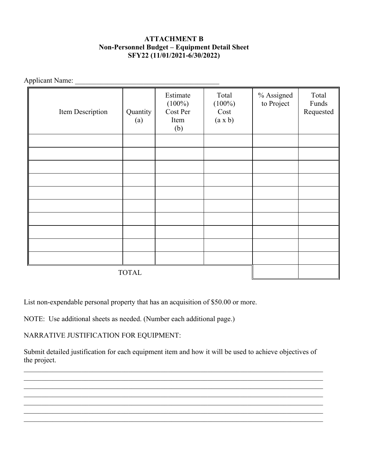## **ATTACHMENT B Non-Personnel Budget – Equipment Detail Sheet SFY22 (11/01/2021-6/30/2022)**

Applicant Name: \_\_\_\_\_\_\_\_\_\_\_\_\_\_\_\_\_\_\_\_\_\_\_\_\_\_\_\_\_\_\_\_\_\_\_\_\_\_\_\_

| Item Description | Quantity<br>(a) | Estimate<br>$(100\%)$<br>Cost Per<br>Item<br>(b) | Total<br>$(100\%)$<br>Cost<br>(a x b) | % Assigned<br>to Project | Total<br>Funds<br>Requested |
|------------------|-----------------|--------------------------------------------------|---------------------------------------|--------------------------|-----------------------------|
|                  |                 |                                                  |                                       |                          |                             |
|                  |                 |                                                  |                                       |                          |                             |
|                  |                 |                                                  |                                       |                          |                             |
|                  |                 |                                                  |                                       |                          |                             |
|                  |                 |                                                  |                                       |                          |                             |
|                  |                 |                                                  |                                       |                          |                             |
|                  |                 |                                                  |                                       |                          |                             |
|                  |                 |                                                  |                                       |                          |                             |
|                  |                 |                                                  |                                       |                          |                             |
|                  |                 |                                                  |                                       |                          |                             |
| <b>TOTAL</b>     |                 |                                                  |                                       |                          |                             |

List non-expendable personal property that has an acquisition of \$50.00 or more.

NOTE: Use additional sheets as needed. (Number each additional page.)

NARRATIVE JUSTIFICATION FOR EQUIPMENT:

Submit detailed justification for each equipment item and how it will be used to achieve objectives of the project.

 $\_$  , and the set of the set of the set of the set of the set of the set of the set of the set of the set of the set of the set of the set of the set of the set of the set of the set of the set of the set of the set of th

\_\_\_\_\_\_\_\_\_\_\_\_\_\_\_\_\_\_\_\_\_\_\_\_\_\_\_\_\_\_\_\_\_\_\_\_\_\_\_\_\_\_\_\_\_\_\_\_\_\_\_\_\_\_\_\_\_\_\_\_\_\_\_\_\_\_\_\_\_\_\_\_\_\_\_\_\_\_\_\_\_\_\_  $\_$  , and the set of the set of the set of the set of the set of the set of the set of the set of the set of the set of the set of the set of the set of the set of the set of the set of the set of the set of the set of th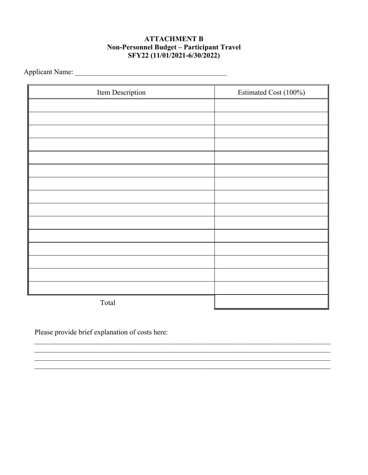## **ATTACHMENT B** Non-Personnel Budget - Participant Travel SFY22 (11/01/2021-6/30/2022)

| Item Description | Estimated Cost (100%) |
|------------------|-----------------------|
|                  |                       |
|                  |                       |
|                  |                       |
|                  |                       |
|                  |                       |
|                  |                       |
|                  |                       |
|                  |                       |
|                  |                       |
|                  |                       |
|                  |                       |
|                  |                       |
|                  |                       |
|                  |                       |
|                  |                       |
| Total            |                       |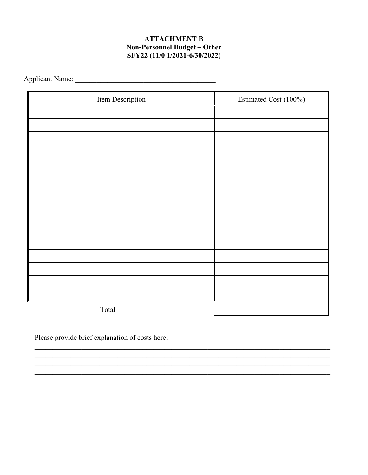## **ATTACHMENT B Non-Personnel Budget - Other** SFY22 (11/0 1/2021-6/30/2022)

| Item Description | Estimated Cost (100%) |
|------------------|-----------------------|
|                  |                       |
|                  |                       |
|                  |                       |
|                  |                       |
|                  |                       |
|                  |                       |
|                  |                       |
|                  |                       |
|                  |                       |
|                  |                       |
|                  |                       |
|                  |                       |
|                  |                       |
|                  |                       |
|                  |                       |
| Total            |                       |

<u> 1989 - Johann Stoff, amerikansk politiker (d. 1989)</u>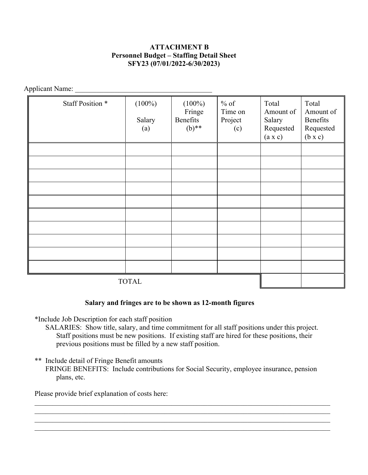## **ATTACHMENT B Personnel Budget – Staffing Detail Sheet SFY23 (07/01/2022-6/30/2023)**

Applicant Name: \_\_\_\_\_\_\_\_\_\_\_\_\_\_\_\_\_\_\_\_\_\_\_\_\_\_\_\_\_\_\_\_\_\_\_\_\_\_

| Staff Position * | $(100\%)$<br>Salary<br>(a) | $(100\%)$<br>Fringe<br>Benefits<br>$(b)$ ** | $%$ of<br>Time on<br>Project<br>(c) | Total<br>Amount of<br>Salary<br>Requested<br>(a x c) | Total<br>Amount of<br>Benefits<br>Requested<br>$(b \times c)$ |
|------------------|----------------------------|---------------------------------------------|-------------------------------------|------------------------------------------------------|---------------------------------------------------------------|
|                  |                            |                                             |                                     |                                                      |                                                               |
|                  |                            |                                             |                                     |                                                      |                                                               |
|                  |                            |                                             |                                     |                                                      |                                                               |
|                  |                            |                                             |                                     |                                                      |                                                               |
|                  |                            |                                             |                                     |                                                      |                                                               |
|                  |                            |                                             |                                     |                                                      |                                                               |
|                  |                            |                                             |                                     |                                                      |                                                               |
|                  |                            |                                             |                                     |                                                      |                                                               |
|                  |                            |                                             |                                     |                                                      |                                                               |
|                  |                            |                                             |                                     |                                                      |                                                               |
| <b>TOTAL</b>     |                            |                                             |                                     |                                                      |                                                               |

### **Salary and fringes are to be shown as 12-month figures**

\*Include Job Description for each staff position

- SALARIES: Show title, salary, and time commitment for all staff positions under this project. Staff positions must be new positions. If existing staff are hired for these positions, their previous positions must be filled by a new staff position.
- \*\* Include detail of Fringe Benefit amounts

FRINGE BENEFITS: Include contributions for Social Security, employee insurance, pension plans, etc.

\_\_\_\_\_\_\_\_\_\_\_\_\_\_\_\_\_\_\_\_\_\_\_\_\_\_\_\_\_\_\_\_\_\_\_\_\_\_\_\_\_\_\_\_\_\_\_\_\_\_\_\_\_\_\_\_\_\_\_\_\_\_\_\_\_\_\_\_\_\_\_\_\_\_\_\_\_\_\_\_\_\_

\_\_\_\_\_\_\_\_\_\_\_\_\_\_\_\_\_\_\_\_\_\_\_\_\_\_\_\_\_\_\_\_\_\_\_\_\_\_\_\_\_\_\_\_\_\_\_\_\_\_\_\_\_\_\_\_\_\_\_\_\_\_\_\_\_\_\_\_\_\_\_\_\_\_\_\_\_\_\_\_\_\_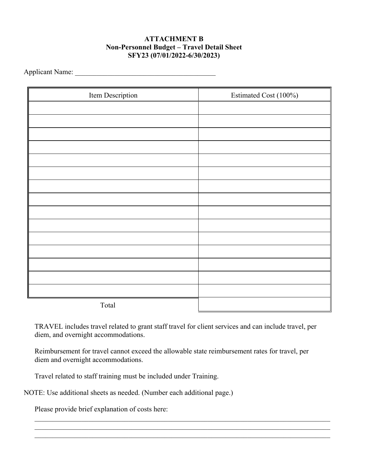## **ATTACHMENT B Non-Personnel Budget – Travel Detail Sheet SFY23 (07/01/2022-6/30/2023)**

Applicant Name:

| Item Description | Estimated Cost (100%) |
|------------------|-----------------------|
|                  |                       |
|                  |                       |
|                  |                       |
|                  |                       |
|                  |                       |
|                  |                       |
|                  |                       |
|                  |                       |
|                  |                       |
|                  |                       |
|                  |                       |
|                  |                       |
|                  |                       |
|                  |                       |
|                  |                       |
| Total            |                       |

TRAVEL includes travel related to grant staff travel for client services and can include travel, per diem, and overnight accommodations.

Reimbursement for travel cannot exceed the allowable state reimbursement rates for travel, per diem and overnight accommodations.

 $\_$  , and the contribution of the contribution of the contribution of the contribution of  $\mathcal{L}_\text{max}$ 

Travel related to staff training must be included under Training.

NOTE: Use additional sheets as needed. (Number each additional page.)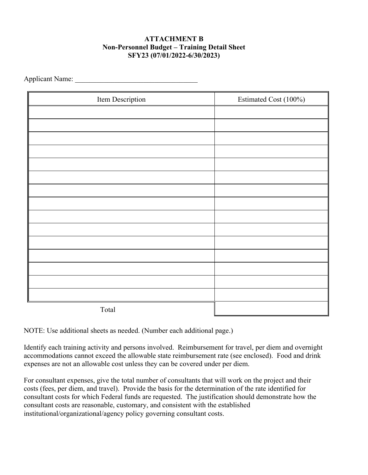## **ATTACHMENT B Non-Personnel Budget – Training Detail Sheet SFY23 (07/01/2022-6/30/2023)**

Applicant Name: \_\_\_\_\_\_\_\_\_\_\_\_\_\_\_\_\_\_\_\_\_\_\_\_\_\_\_\_\_\_\_\_\_\_

| Item Description | Estimated Cost (100%) |
|------------------|-----------------------|
|                  |                       |
|                  |                       |
|                  |                       |
|                  |                       |
|                  |                       |
|                  |                       |
|                  |                       |
|                  |                       |
|                  |                       |
|                  |                       |
|                  |                       |
|                  |                       |
|                  |                       |
|                  |                       |
|                  |                       |
| Total            |                       |

NOTE: Use additional sheets as needed. (Number each additional page.)

Identify each training activity and persons involved. Reimbursement for travel, per diem and overnight accommodations cannot exceed the allowable state reimbursement rate (see enclosed). Food and drink expenses are not an allowable cost unless they can be covered under per diem.

For consultant expenses, give the total number of consultants that will work on the project and their costs (fees, per diem, and travel). Provide the basis for the determination of the rate identified for consultant costs for which Federal funds are requested. The justification should demonstrate how the consultant costs are reasonable, customary, and consistent with the established institutional/organizational/agency policy governing consultant costs.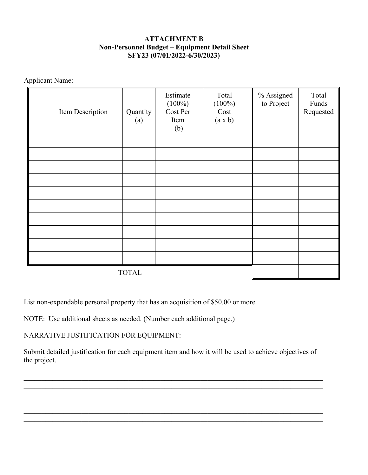## **ATTACHMENT B Non-Personnel Budget – Equipment Detail Sheet SFY23 (07/01/2022-6/30/2023)**

Applicant Name: \_\_\_\_\_\_\_\_\_\_\_\_\_\_\_\_\_\_\_\_\_\_\_\_\_\_\_\_\_\_\_\_\_\_\_\_\_\_\_\_

| Item Description | Quantity<br>(a) | Estimate<br>$(100\%)$<br>Cost Per<br>Item<br>(b) | Total<br>$(100\%)$<br>Cost<br>(a x b) | % Assigned<br>to Project | Total<br>Funds<br>Requested |
|------------------|-----------------|--------------------------------------------------|---------------------------------------|--------------------------|-----------------------------|
|                  |                 |                                                  |                                       |                          |                             |
|                  |                 |                                                  |                                       |                          |                             |
|                  |                 |                                                  |                                       |                          |                             |
|                  |                 |                                                  |                                       |                          |                             |
|                  |                 |                                                  |                                       |                          |                             |
|                  |                 |                                                  |                                       |                          |                             |
|                  |                 |                                                  |                                       |                          |                             |
|                  |                 |                                                  |                                       |                          |                             |
|                  |                 |                                                  |                                       |                          |                             |
|                  |                 |                                                  |                                       |                          |                             |
| <b>TOTAL</b>     |                 |                                                  |                                       |                          |                             |

List non-expendable personal property that has an acquisition of \$50.00 or more.

NOTE: Use additional sheets as needed. (Number each additional page.)

NARRATIVE JUSTIFICATION FOR EQUIPMENT:

Submit detailed justification for each equipment item and how it will be used to achieve objectives of the project.

 $\_$  , and the set of the set of the set of the set of the set of the set of the set of the set of the set of the set of the set of the set of the set of the set of the set of the set of the set of the set of the set of th

\_\_\_\_\_\_\_\_\_\_\_\_\_\_\_\_\_\_\_\_\_\_\_\_\_\_\_\_\_\_\_\_\_\_\_\_\_\_\_\_\_\_\_\_\_\_\_\_\_\_\_\_\_\_\_\_\_\_\_\_\_\_\_\_\_\_\_\_\_\_\_\_\_\_\_\_\_\_\_\_\_\_\_  $\_$  , and the set of the set of the set of the set of the set of the set of the set of the set of the set of the set of the set of the set of the set of the set of the set of the set of the set of the set of the set of th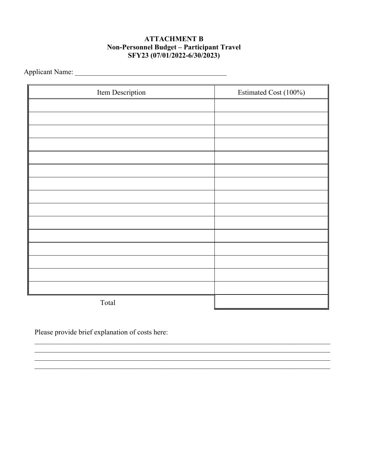## **ATTACHMENT B** Non-Personnel Budget - Participant Travel SFY23 (07/01/2022-6/30/2023)

| Item Description | Estimated Cost (100%) |  |
|------------------|-----------------------|--|
|                  |                       |  |
|                  |                       |  |
|                  |                       |  |
|                  |                       |  |
|                  |                       |  |
|                  |                       |  |
|                  |                       |  |
|                  |                       |  |
|                  |                       |  |
|                  |                       |  |
|                  |                       |  |
|                  |                       |  |
|                  |                       |  |
|                  |                       |  |
|                  |                       |  |
| Total            |                       |  |

<u> 1988 - Johann Stoff, deutscher Stoff aus der Stoff aus der Stoff aus der Stoff aus der Stoff aus der Stoff a</u>